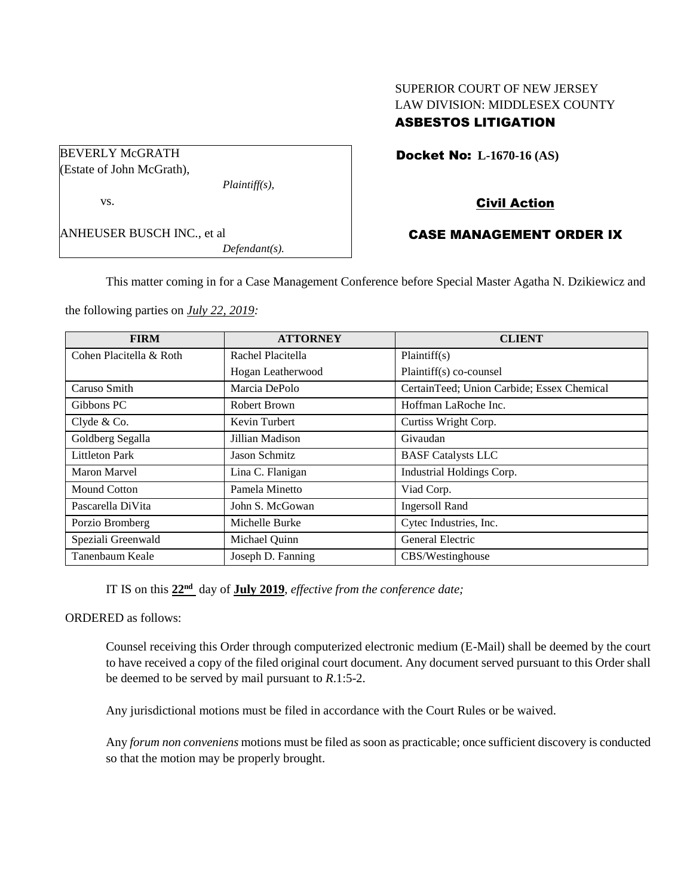# SUPERIOR COURT OF NEW JERSEY LAW DIVISION: MIDDLESEX COUNTY ASBESTOS LITIGATION

| <b>BEVERLY McGRATH</b>            |                  |  |
|-----------------------------------|------------------|--|
| (Estate of John McGrath),         |                  |  |
|                                   | $Plaintiff(s)$ , |  |
| VS.                               |                  |  |
| <b>ANHEUSER BUSCH INC., et al</b> |                  |  |
|                                   | $Defendant(s)$ . |  |

### Docket No: **L-1670-16 (AS)**

# Civil Action

### CASE MANAGEMENT ORDER IX

This matter coming in for a Case Management Conference before Special Master Agatha N. Dzikiewicz and

the following parties on *July 22, 2019:*

| <b>FIRM</b>             | <b>ATTORNEY</b>   | <b>CLIENT</b>                              |
|-------------------------|-------------------|--------------------------------------------|
| Cohen Placitella & Roth | Rachel Placitella | Plaintiff(s)                               |
|                         | Hogan Leatherwood | Plaintiff(s) co-counsel                    |
| Caruso Smith            | Marcia DePolo     | CertainTeed; Union Carbide; Essex Chemical |
| Gibbons PC              | Robert Brown      | Hoffman LaRoche Inc.                       |
| Clyde & Co.             | Kevin Turbert     | Curtiss Wright Corp.                       |
| Goldberg Segalla        | Jillian Madison   | Givaudan                                   |
| <b>Littleton Park</b>   | Jason Schmitz     | <b>BASF</b> Catalysts LLC                  |
| <b>Maron Marvel</b>     | Lina C. Flanigan  | Industrial Holdings Corp.                  |
| Mound Cotton            | Pamela Minetto    | Viad Corp.                                 |
| Pascarella DiVita       | John S. McGowan   | <b>Ingersoll Rand</b>                      |
| Porzio Bromberg         | Michelle Burke    | Cytec Industries, Inc.                     |
| Speziali Greenwald      | Michael Quinn     | General Electric                           |
| Tanenbaum Keale         | Joseph D. Fanning | CBS/Westinghouse                           |

IT IS on this  $22<sup>nd</sup>$  day of **July** 2019, *effective from the conference date*;

ORDERED as follows:

Counsel receiving this Order through computerized electronic medium (E-Mail) shall be deemed by the court to have received a copy of the filed original court document. Any document served pursuant to this Order shall be deemed to be served by mail pursuant to *R*.1:5-2.

Any jurisdictional motions must be filed in accordance with the Court Rules or be waived.

Any *forum non conveniens* motions must be filed as soon as practicable; once sufficient discovery is conducted so that the motion may be properly brought.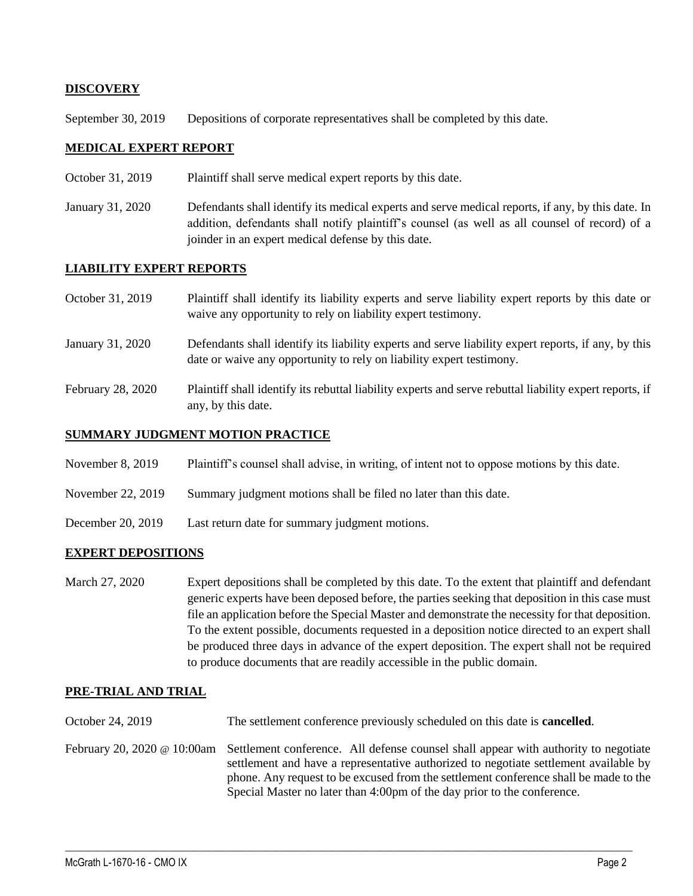### **DISCOVERY**

September 30, 2019 Depositions of corporate representatives shall be completed by this date.

### **MEDICAL EXPERT REPORT**

- October 31, 2019 Plaintiff shall serve medical expert reports by this date.
- January 31, 2020 Defendants shall identify its medical experts and serve medical reports, if any, by this date. In addition, defendants shall notify plaintiff's counsel (as well as all counsel of record) of a joinder in an expert medical defense by this date.

### **LIABILITY EXPERT REPORTS**

| October 31, 2019  | Plaintiff shall identify its liability experts and serve liability expert reports by this date or<br>waive any opportunity to rely on liability expert testimony.           |
|-------------------|-----------------------------------------------------------------------------------------------------------------------------------------------------------------------------|
| January 31, 2020  | Defendants shall identify its liability experts and serve liability expert reports, if any, by this<br>date or waive any opportunity to rely on liability expert testimony. |
| February 28, 2020 | Plaintiff shall identify its rebuttal liability experts and serve rebuttal liability expert reports, if<br>any, by this date.                                               |

# **SUMMARY JUDGMENT MOTION PRACTICE**

- November 8, 2019 Plaintiff's counsel shall advise, in writing, of intent not to oppose motions by this date.
- November 22, 2019 Summary judgment motions shall be filed no later than this date.
- December 20, 2019 Last return date for summary judgment motions.

#### **EXPERT DEPOSITIONS**

March 27, 2020 Expert depositions shall be completed by this date. To the extent that plaintiff and defendant generic experts have been deposed before, the parties seeking that deposition in this case must file an application before the Special Master and demonstrate the necessity for that deposition. To the extent possible, documents requested in a deposition notice directed to an expert shall be produced three days in advance of the expert deposition. The expert shall not be required to produce documents that are readily accessible in the public domain.

#### **PRE-TRIAL AND TRIAL**

- October 24, 2019 The settlement conference previously scheduled on this date is **cancelled**.
- February 20, 2020 @ 10:00am Settlement conference. All defense counsel shall appear with authority to negotiate settlement and have a representative authorized to negotiate settlement available by phone. Any request to be excused from the settlement conference shall be made to the Special Master no later than 4:00pm of the day prior to the conference.

 $\_$  , and the set of the set of the set of the set of the set of the set of the set of the set of the set of the set of the set of the set of the set of the set of the set of the set of the set of the set of the set of th